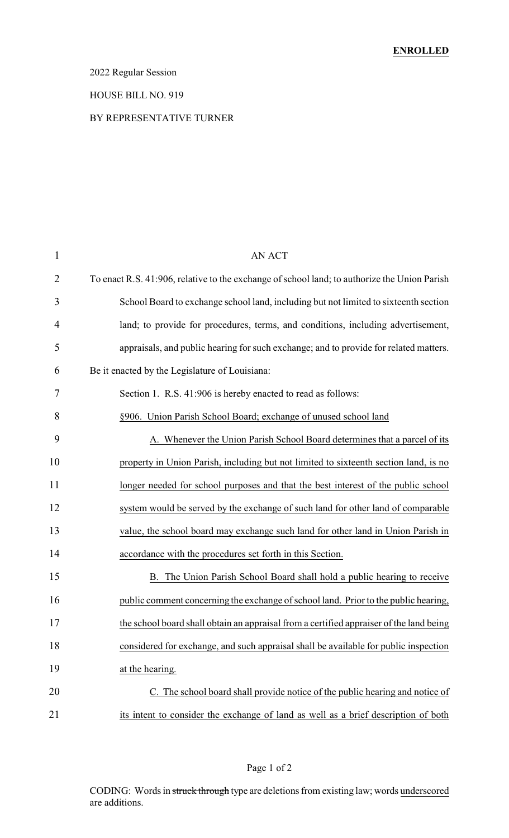#### 2022 Regular Session

#### HOUSE BILL NO. 919

#### BY REPRESENTATIVE TURNER

| $\mathbf{1}$   | <b>AN ACT</b>                                                                                |
|----------------|----------------------------------------------------------------------------------------------|
| $\overline{2}$ | To enact R.S. 41:906, relative to the exchange of school land; to authorize the Union Parish |
| 3              | School Board to exchange school land, including but not limited to sixteenth section         |
| 4              | land; to provide for procedures, terms, and conditions, including advertisement,             |
| 5              | appraisals, and public hearing for such exchange; and to provide for related matters.        |
| 6              | Be it enacted by the Legislature of Louisiana:                                               |
| 7              | Section 1. R.S. 41:906 is hereby enacted to read as follows:                                 |
| 8              | §906. Union Parish School Board; exchange of unused school land                              |
| 9              | A. Whenever the Union Parish School Board determines that a parcel of its                    |
| 10             | property in Union Parish, including but not limited to sixteenth section land, is no         |
| 11             | longer needed for school purposes and that the best interest of the public school            |
| 12             | system would be served by the exchange of such land for other land of comparable             |
| 13             | value, the school board may exchange such land for other land in Union Parish in             |
| 14             | accordance with the procedures set forth in this Section.                                    |
| 15             | B. The Union Parish School Board shall hold a public hearing to receive                      |
| 16             | public comment concerning the exchange of school land. Prior to the public hearing,          |
| 17             | the school board shall obtain an appraisal from a certified appraiser of the land being      |
| 18             | considered for exchange, and such appraisal shall be available for public inspection         |
| 19             | at the hearing.                                                                              |
| 20             | C. The school board shall provide notice of the public hearing and notice of                 |
| 21             | its intent to consider the exchange of land as well as a brief description of both           |

CODING: Words in struck through type are deletions from existing law; words underscored are additions.